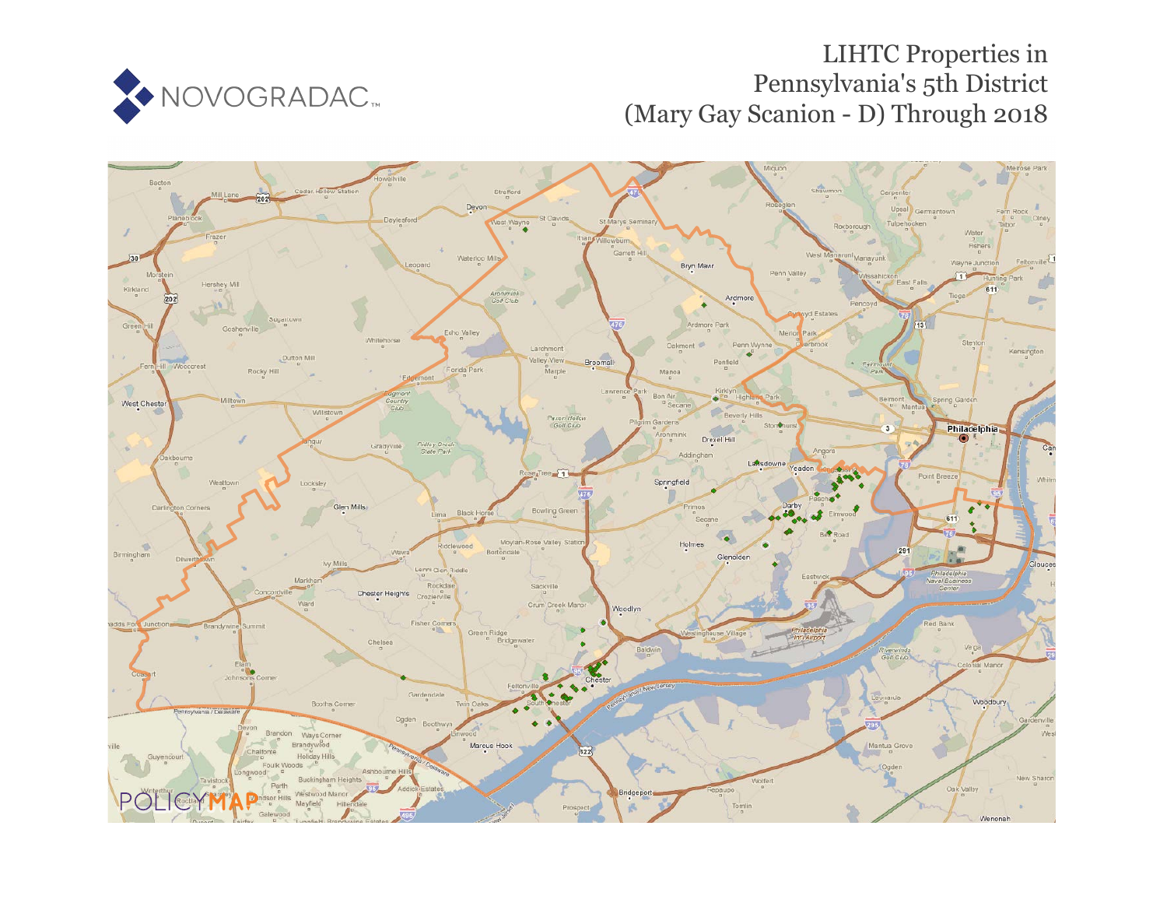

# LIHTC Properties in Pennsylvania's 5th District (Mary Gay Scanion - D) Through 2018

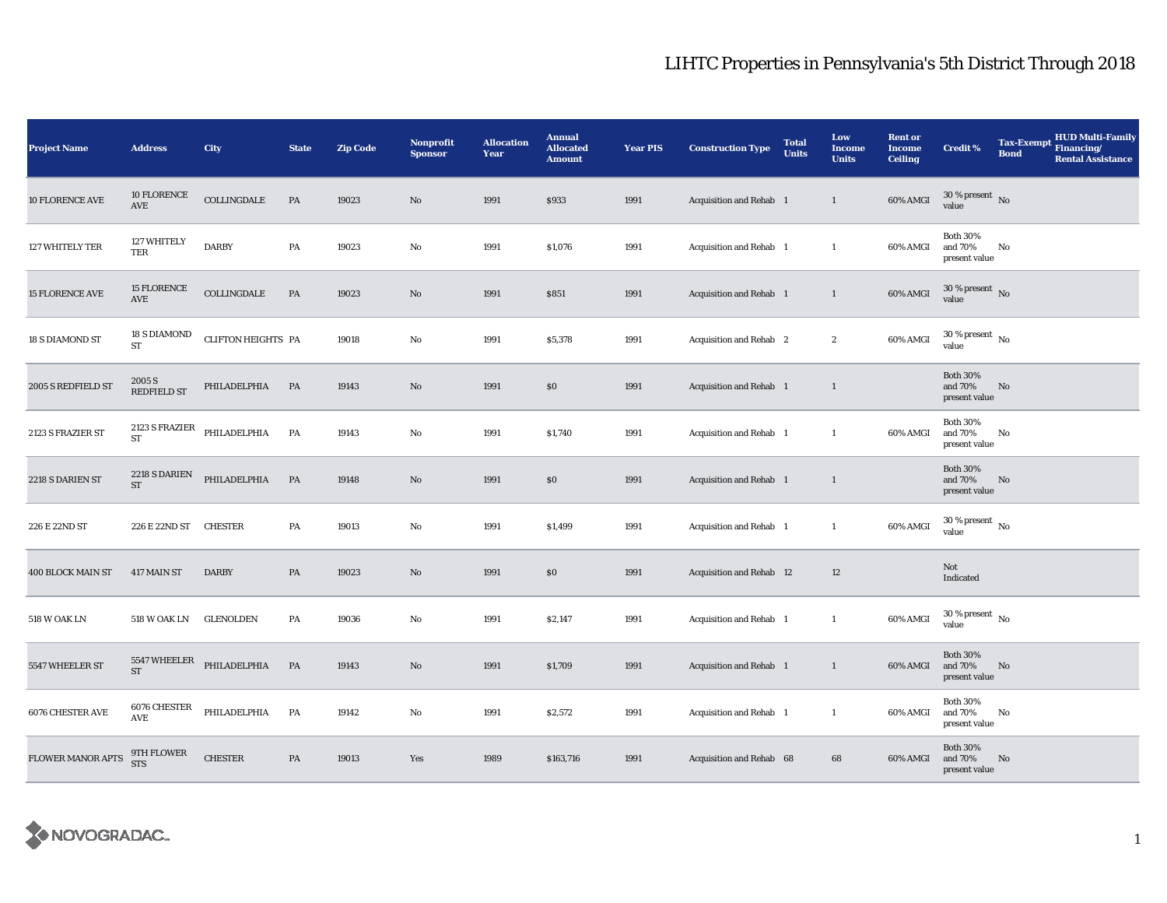| <b>Project Name</b>      | <b>Address</b>                       | City                      | <b>State</b>  | <b>Zip Code</b> | Nonprofit<br><b>Sponsor</b> | <b>Allocation</b><br>Year | <b>Annual</b><br><b>Allocated</b><br><b>Amount</b> | <b>Year PIS</b> | <b>Construction Type</b> | <b>Total</b><br><b>Units</b> | Low<br><b>Income</b><br><b>Units</b> | <b>Rent or</b><br><b>Income</b><br><b>Ceiling</b> | <b>Credit %</b>                                | <b>Tax-Exempt</b><br><b>Bond</b> | <b>HUD Multi-Family</b><br>Financing/<br><b>Rental Assistance</b> |
|--------------------------|--------------------------------------|---------------------------|---------------|-----------------|-----------------------------|---------------------------|----------------------------------------------------|-----------------|--------------------------|------------------------------|--------------------------------------|---------------------------------------------------|------------------------------------------------|----------------------------------|-------------------------------------------------------------------|
| 10 FLORENCE AVE          | 10 FLORENCE<br>AVE                   | COLLINGDALE               | PA            | 19023           | No                          | 1991                      | \$933                                              | 1991            | Acquisition and Rehab 1  |                              | $\mathbf{1}$                         | 60% AMGI                                          | $30$ % present $\,$ No $\,$<br>value           |                                  |                                                                   |
| 127 WHITELY TER          | 127 WHITELY<br>TER                   | <b>DARBY</b>              | PA            | 19023           | No                          | 1991                      | \$1,076                                            | 1991            | Acquisition and Rehab 1  |                              | $\mathbf{1}$                         | 60% AMGI                                          | <b>Both 30%</b><br>and 70%<br>present value    | No                               |                                                                   |
| <b>15 FLORENCE AVE</b>   | <b>15 FLORENCE</b><br>AVE            | COLLINGDALE               | PA            | 19023           | No                          | 1991                      | \$851                                              | 1991            | Acquisition and Rehab 1  |                              | $\mathbf{1}$                         | 60% AMGI                                          | $30$ % present $\,$ No value                   |                                  |                                                                   |
| 18 S DIAMOND ST          | <b>18 S DIAMOND</b><br><b>ST</b>     | <b>CLIFTON HEIGHTS PA</b> |               | 19018           | No                          | 1991                      | \$5,378                                            | 1991            | Acquisition and Rehab 2  |                              | $\mathbf{2}$                         | 60% AMGI                                          | $30$ % present $_{\rm{No}}$                    |                                  |                                                                   |
| 2005 S REDFIELD ST       | 2005 S<br><b>REDFIELD ST</b>         | PHILADELPHIA              | PA            | 19143           | No                          | 1991                      | $\$0$                                              | 1991            | Acquisition and Rehab 1  |                              | $\mathbf{1}$                         |                                                   | <b>Both 30%</b><br>and 70%<br>present value    | No                               |                                                                   |
| 2123 S FRAZIER ST        | 2123 S FRAZIER<br>${\rm ST}$         | PHILADELPHIA              | PA            | 19143           | No                          | 1991                      | \$1,740                                            | 1991            | Acquisition and Rehab 1  |                              | $\mathbf{1}$                         | 60% AMGI                                          | <b>Both 30%</b><br>and $70\%$<br>present value | No                               |                                                                   |
| 2218 S DARIEN ST         | 2218 S DARIEN<br>$\operatorname{ST}$ | PHILADELPHIA              | PA            | 19148           | No                          | 1991                      | \$0                                                | 1991            | Acquisition and Rehab 1  |                              | $\mathbf{1}$                         |                                                   | <b>Both 30%</b><br>and 70%<br>present value    | No                               |                                                                   |
| 226 E 22ND ST            | 226 E 22ND ST                        | <b>CHESTER</b>            | PA            | 19013           | No                          | 1991                      | \$1,499                                            | 1991            | Acquisition and Rehab 1  |                              | $\mathbf{1}$                         | 60% AMGI                                          | 30 % present $\,$ No $\,$<br>value             |                                  |                                                                   |
| <b>400 BLOCK MAIN ST</b> | 417 MAIN ST                          | <b>DARBY</b>              | PA            | 19023           | $\mathbf{N}\mathbf{o}$      | 1991                      | \$0                                                | 1991            | Acquisition and Rehab 12 |                              | 12                                   |                                                   | Not<br>Indicated                               |                                  |                                                                   |
| <b>518 W OAK LN</b>      | <b>518 W OAK LN</b>                  | <b>GLENOLDEN</b>          | $\mathbf{PA}$ | 19036           | No                          | 1991                      | \$2,147                                            | 1991            | Acquisition and Rehab 1  |                              | $\mathbf{1}$                         | 60% AMGI                                          | 30 % present $\hbox{~No}$<br>value             |                                  |                                                                   |
| 5547 WHEELER ST          | 5547 WHEELER<br><b>ST</b>            | PHILADELPHIA              | PA            | 19143           | No                          | 1991                      | \$1,709                                            | 1991            | Acquisition and Rehab 1  |                              | $\mathbf{1}$                         | 60% AMGI                                          | <b>Both 30%</b><br>and 70%<br>present value    | No                               |                                                                   |
| <b>6076 CHESTER AVE</b>  | 6076 CHESTER<br>AVE                  | PHILADELPHIA              | PA            | 19142           | No                          | 1991                      | \$2,572                                            | 1991            | Acquisition and Rehab 1  |                              | $\mathbf{1}$                         | 60% AMGI                                          | <b>Both 30%</b><br>and 70%<br>present value    | No                               |                                                                   |
| <b>FLOWER MANOR APTS</b> | 9TH FLOWER<br><b>STS</b>             | <b>CHESTER</b>            | PA            | 19013           | Yes                         | 1989                      | \$163,716                                          | 1991            | Acquisition and Rehab 68 |                              | 68                                   | 60% AMGI                                          | <b>Both 30%</b><br>and 70%<br>present value    | No                               |                                                                   |

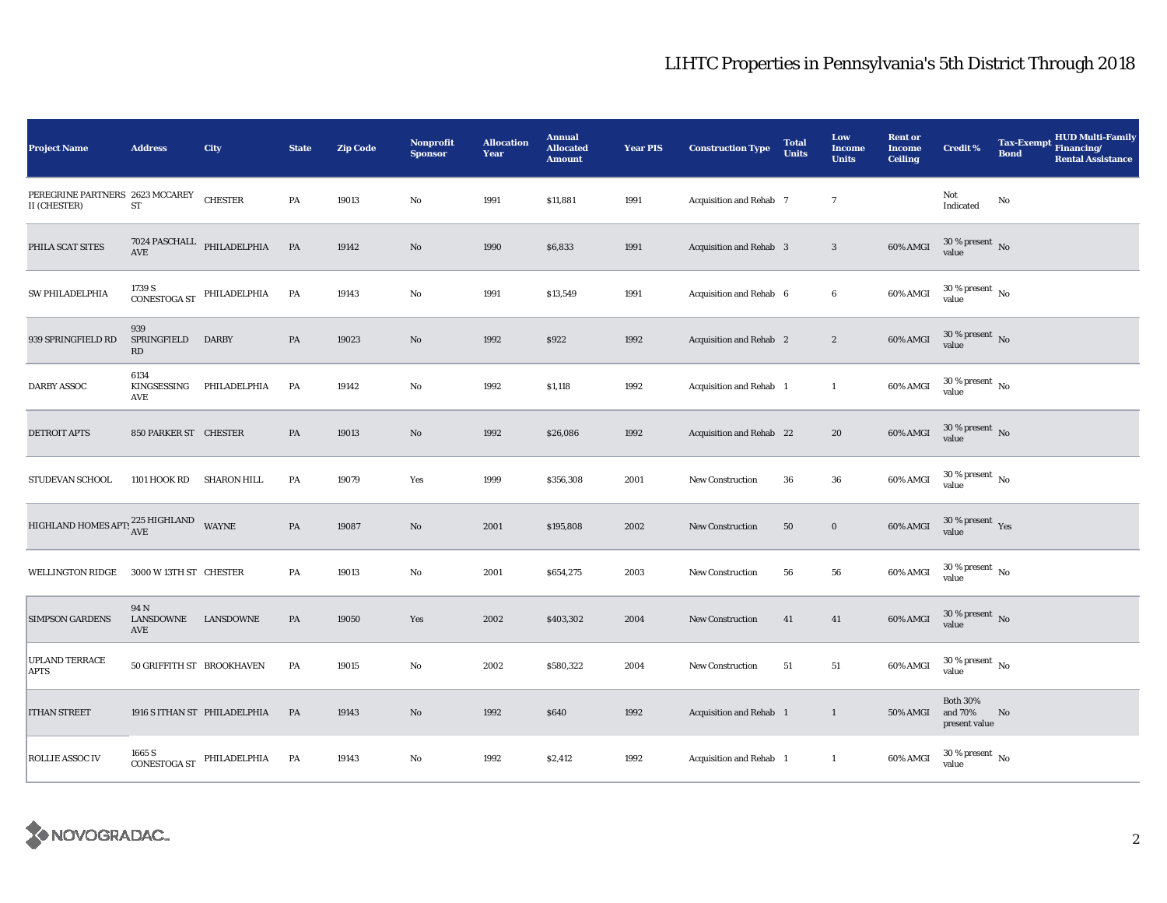| <b>Project Name</b>                             | <b>Address</b>             | City                                                                           | <b>State</b>  | <b>Zip Code</b> | <b>Nonprofit</b><br><b>Sponsor</b> | <b>Allocation</b><br>Year | <b>Annual</b><br><b>Allocated</b><br><b>Amount</b> | <b>Year PIS</b> | <b>Construction Type</b>       | <b>Total</b><br><b>Units</b> | Low<br><b>Income</b><br><b>Units</b> | <b>Rent or</b><br><b>Income</b><br><b>Ceiling</b> | <b>Credit %</b>                             | <b>Tax-Exempt</b><br><b>Bond</b> | <b>HUD Multi-Family</b><br>Financing/<br><b>Rental Assistance</b> |
|-------------------------------------------------|----------------------------|--------------------------------------------------------------------------------|---------------|-----------------|------------------------------------|---------------------------|----------------------------------------------------|-----------------|--------------------------------|------------------------------|--------------------------------------|---------------------------------------------------|---------------------------------------------|----------------------------------|-------------------------------------------------------------------|
| PEREGRINE PARTNERS 2623 MCCAREY<br>II (CHESTER) | ST                         | <b>CHESTER</b>                                                                 | PA            | 19013           | No                                 | 1991                      | \$11,881                                           | 1991            | Acquisition and Rehab 7        |                              | $\overline{7}$                       |                                                   | Not<br>Indicated                            | No                               |                                                                   |
| PHILA SCAT SITES                                | AVE                        | $7024$ PASCHALL $\quad$ PHILADELPHIA                                           | $\mathbf{PA}$ | 19142           | No                                 | 1990                      | \$6,833                                            | 1991            | <b>Acquisition and Rehab 3</b> |                              | $\mathbf{3}$                         | $60\%$ AMGI                                       | $30$ % present $\,$ No $\,$<br>value        |                                  |                                                                   |
| SW PHILADELPHIA                                 |                            | $CONESTOGA ST PHILADELPHIA$                                                    | PA            | 19143           | No                                 | 1991                      | \$13,549                                           | 1991            | Acquisition and Rehab 6        |                              | $\bf 6$                              | 60% AMGI                                          | $30\,\%$ present $\,$ No $\,$<br>value      |                                  |                                                                   |
| 939 SPRINGFIELD RD                              | 939<br>SPRINGFIELD<br>RD   | <b>DARBY</b>                                                                   | PA            | 19023           | No                                 | 1992                      | \$922                                              | 1992            | Acquisition and Rehab 2        |                              | $\boldsymbol{2}$                     | 60% AMGI                                          | $30$ % present $\hbox{~No}$<br>value        |                                  |                                                                   |
| <b>DARBY ASSOC</b>                              | 6134<br>KINGSESSING<br>AVE | PHILADELPHIA                                                                   | PA            | 19142           | No                                 | 1992                      | \$1,118                                            | 1992            | Acquisition and Rehab 1        |                              | $\mathbf{1}$                         | 60% AMGI                                          | $30\,\%$ present $\,$ No value              |                                  |                                                                   |
| <b>DETROIT APTS</b>                             | 850 PARKER ST CHESTER      |                                                                                | PA            | 19013           | No                                 | 1992                      | \$26,086                                           | 1992            | Acquisition and Rehab 22       |                              | 20                                   | $60\%$ AMGI                                       | $30\,\%$ present $\,$ No value              |                                  |                                                                   |
| STUDEVAN SCHOOL                                 | 1101 HOOK RD               | <b>SHARON HILL</b>                                                             | PA            | 19079           | Yes                                | 1999                      | \$356,308                                          | 2001            | <b>New Construction</b>        | 36                           | ${\bf 36}$                           | 60% AMGI                                          | $30\,\%$ present $\,$ No value              |                                  |                                                                   |
| HIGHLAND HOMES APT: $^{225}_{\text{AVE}}$ WAYNE |                            |                                                                                | PA            | 19087           | No                                 | 2001                      | \$195,808                                          | 2002            | <b>New Construction</b>        | ${\bf 50}$                   | $\bf{0}$                             | 60% AMGI                                          | $30\,\%$ present $\,$ Yes value             |                                  |                                                                   |
| <b>WELLINGTON RIDGE</b>                         | 3000 W 13TH ST CHESTER     |                                                                                | PA            | 19013           | No                                 | 2001                      | \$654,275                                          | 2003            | <b>New Construction</b>        | 56                           | 56                                   | 60% AMGI                                          | $30\,\%$ present $\,$ No $\,$<br>value      |                                  |                                                                   |
| <b>SIMPSON GARDENS</b>                          | 94 N<br>LANSDOWNE<br>AVE   | LANSDOWNE                                                                      | PA            | 19050           | Yes                                | 2002                      | \$403,302                                          | 2004            | New Construction               | 41                           | 41                                   | 60% AMGI                                          | $30\,\%$ present $\,$ No value              |                                  |                                                                   |
| UPLAND TERRACE<br>APTS                          | 50 GRIFFITH ST BROOKHAVEN  |                                                                                | PA            | 19015           | No                                 | 2002                      | \$580,322                                          | 2004            | New Construction               | 51                           | 51                                   | 60% AMGI                                          | $30$ % present $\,$ No $\,$<br>value        |                                  |                                                                   |
| <b>ITHAN STREET</b>                             |                            | 1916 S ITHAN ST PHILADELPHIA                                                   | PA            | 19143           | No                                 | 1992                      | \$640                                              | 1992            | Acquisition and Rehab 1        |                              | $\mathbf{1}$                         | <b>50% AMGI</b>                                   | <b>Both 30%</b><br>and 70%<br>present value | No                               |                                                                   |
| ROLLIE ASSOC IV                                 |                            | $\begin{array}{lll} \textbf{CONESTOGA ST} & \textbf{PHILADELPHIA} \end{array}$ | PA            | 19143           | No                                 | 1992                      | \$2,412                                            | 1992            | Acquisition and Rehab 1        |                              | $\mathbf{1}$                         | 60% AMGI                                          | $30\,\%$ present $\,$ No value              |                                  |                                                                   |

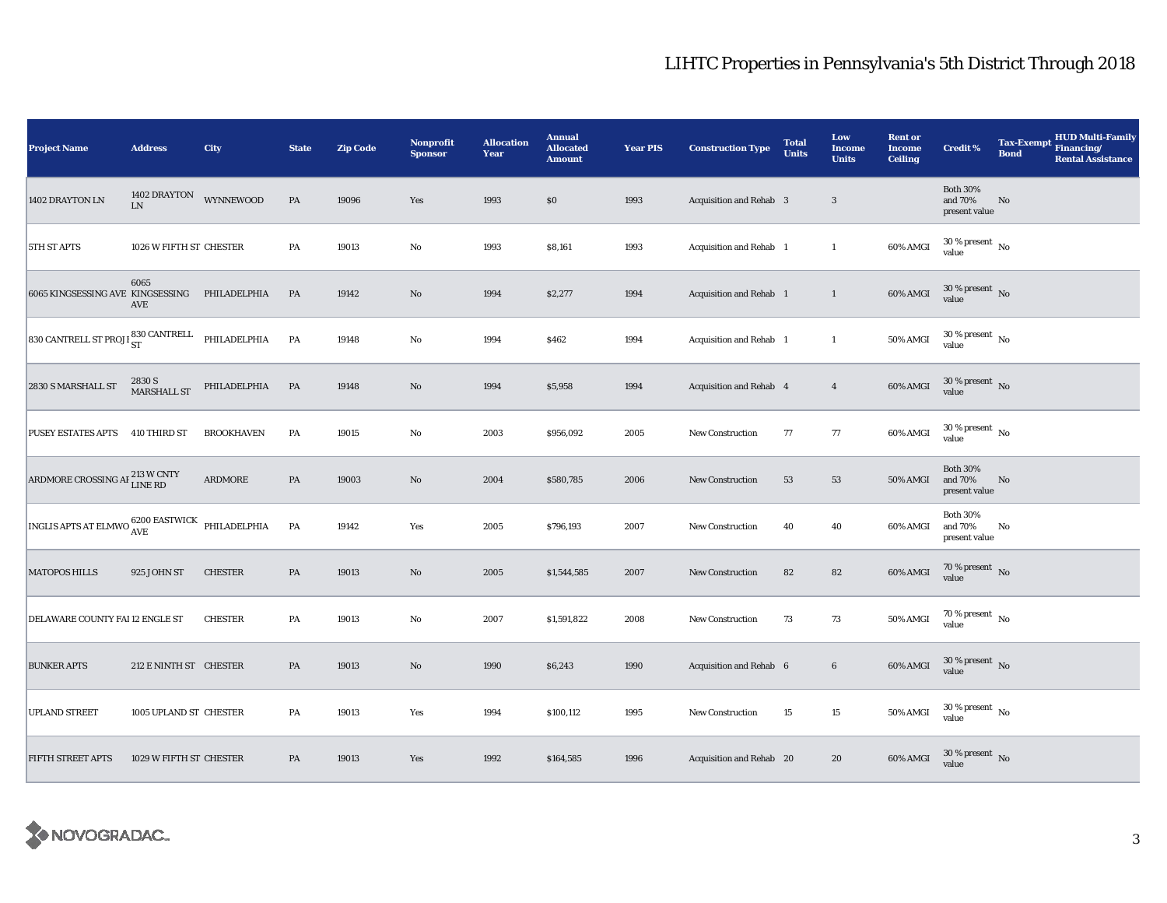| <b>Project Name</b>                                                 | <b>Address</b>             | City              | <b>State</b>  | <b>Zip Code</b> | Nonprofit<br><b>Sponsor</b> | <b>Allocation</b><br>Year | <b>Annual</b><br><b>Allocated</b><br><b>Amount</b> | <b>Year PIS</b> | <b>Construction Type</b> | <b>Total</b><br><b>Units</b> | Low<br><b>Income</b><br><b>Units</b> | <b>Rent or</b><br><b>Income</b><br><b>Ceiling</b> | <b>Credit %</b>                             | <b>Tax-Exempt</b><br><b>Bond</b> | HUD Multi-Family<br>Financing/<br><b>Rental Assistance</b> |
|---------------------------------------------------------------------|----------------------------|-------------------|---------------|-----------------|-----------------------------|---------------------------|----------------------------------------------------|-----------------|--------------------------|------------------------------|--------------------------------------|---------------------------------------------------|---------------------------------------------|----------------------------------|------------------------------------------------------------|
| 1402 DRAYTON LN                                                     | 1402 DRAYTON<br>${\rm LN}$ | WYNNEWOOD         | $\mathbf{PA}$ | 19096           | Yes                         | 1993                      | \$0                                                | 1993            | Acquisition and Rehab 3  |                              | 3                                    |                                                   | <b>Both 30%</b><br>and 70%<br>present value | No                               |                                                            |
| 5TH ST APTS                                                         | 1026 W FIFTH ST CHESTER    |                   | PA            | 19013           | $\rm No$                    | 1993                      | \$8,161                                            | 1993            | Acquisition and Rehab 1  |                              | $\mathbf{1}$                         | 60% AMGI                                          | $30\,\%$ present $\,$ No $\,$<br>value      |                                  |                                                            |
| 6065 KINGSESSING AVE KINGSESSING                                    | 6065<br>AVE                | PHILADELPHIA      | PA            | 19142           | $\mathbf{N}\mathbf{o}$      | 1994                      | \$2,277                                            | 1994            | Acquisition and Rehab 1  |                              | $\mathbf{1}$                         | 60% AMGI                                          | $30\,\%$ present $\,$ No value              |                                  |                                                            |
| 830 CANTRELL ST PROJI $_{\rm ST}^{830\ {\rm CANTREL}}$ PHILADELPHIA |                            |                   | PA            | 19148           | No                          | 1994                      | \$462                                              | 1994            | Acquisition and Rehab 1  |                              | $\mathbf{1}$                         | 50% AMGI                                          | $30$ % present $\,$ No $\,$<br>value        |                                  |                                                            |
| 2830 S MARSHALL ST                                                  | 2830 S<br>MARSHALL ST      | PHILADELPHIA      | PA            | 19148           | $\rm No$                    | 1994                      | \$5,958                                            | 1994            | Acquisition and Rehab 4  |                              | $\overline{4}$                       | 60% AMGI                                          | $30\,\%$ present $\,$ No value              |                                  |                                                            |
| PUSEY ESTATES APTS                                                  | 410 THIRD ST               | <b>BROOKHAVEN</b> | PA            | 19015           | $\mathbf{No}$               | 2003                      | \$956,092                                          | 2005            | New Construction         | 77                           | 77                                   | 60% AMGI                                          | $30$ % present $\,$ No $\,$<br>value        |                                  |                                                            |
| ARDMORE CROSSING AF 213 W CNTY                                      |                            | ARDMORE           | PA            | 19003           | $\rm No$                    | 2004                      | \$580,785                                          | 2006            | <b>New Construction</b>  | 53                           | 53                                   | <b>50% AMGI</b>                                   | <b>Both 30%</b><br>and 70%<br>present value | $\mathbf{No}$                    |                                                            |
| INGLIS APTS AT ELMWO $^{6200\,}{\rm EASTWICK}$ PHILADELPHIA         |                            |                   | PA            | 19142           | Yes                         | 2005                      | \$796,193                                          | 2007            | <b>New Construction</b>  | 40                           | 40                                   | 60% AMGI                                          | <b>Both 30%</b><br>and 70%<br>present value | No                               |                                                            |
| <b>MATOPOS HILLS</b>                                                | 925 JOHN ST                | <b>CHESTER</b>    | PA            | 19013           | $\mathbf{N}\mathbf{o}$      | 2005                      | \$1,544,585                                        | 2007            | New Construction         | 82                           | 82                                   | 60% AMGI                                          | $70\,\%$ present $\,$ No value              |                                  |                                                            |
| DELAWARE COUNTY FAI 12 ENGLE ST                                     |                            | <b>CHESTER</b>    | PA            | 19013           | $\rm No$                    | 2007                      | \$1,591,822                                        | 2008            | New Construction         | 73                           | 73                                   | <b>50% AMGI</b>                                   | 70 % present $\hbox{~No}$<br>value          |                                  |                                                            |
| <b>BUNKER APTS</b>                                                  | 212 E NINTH ST CHESTER     |                   | PA            | 19013           | $\rm No$                    | 1990                      | \$6,243                                            | 1990            | Acquisition and Rehab 6  |                              | $\bf 6$                              | 60% AMGI                                          | $30$ % present $\,$ No $\,$<br>value        |                                  |                                                            |
| <b>UPLAND STREET</b>                                                | 1005 UPLAND ST CHESTER     |                   | PA            | 19013           | Yes                         | 1994                      | \$100,112                                          | 1995            | <b>New Construction</b>  | 15                           | $15\,$                               | 50% AMGI                                          | $30\,\%$ present $\,$ No value              |                                  |                                                            |
| FIFTH STREET APTS                                                   | 1029 W FIFTH ST CHESTER    |                   | PA            | 19013           | Yes                         | 1992                      | \$164,585                                          | 1996            | Acquisition and Rehab 20 |                              | 20                                   | 60% AMGI                                          | $30\,\%$ present $\,$ No value              |                                  |                                                            |

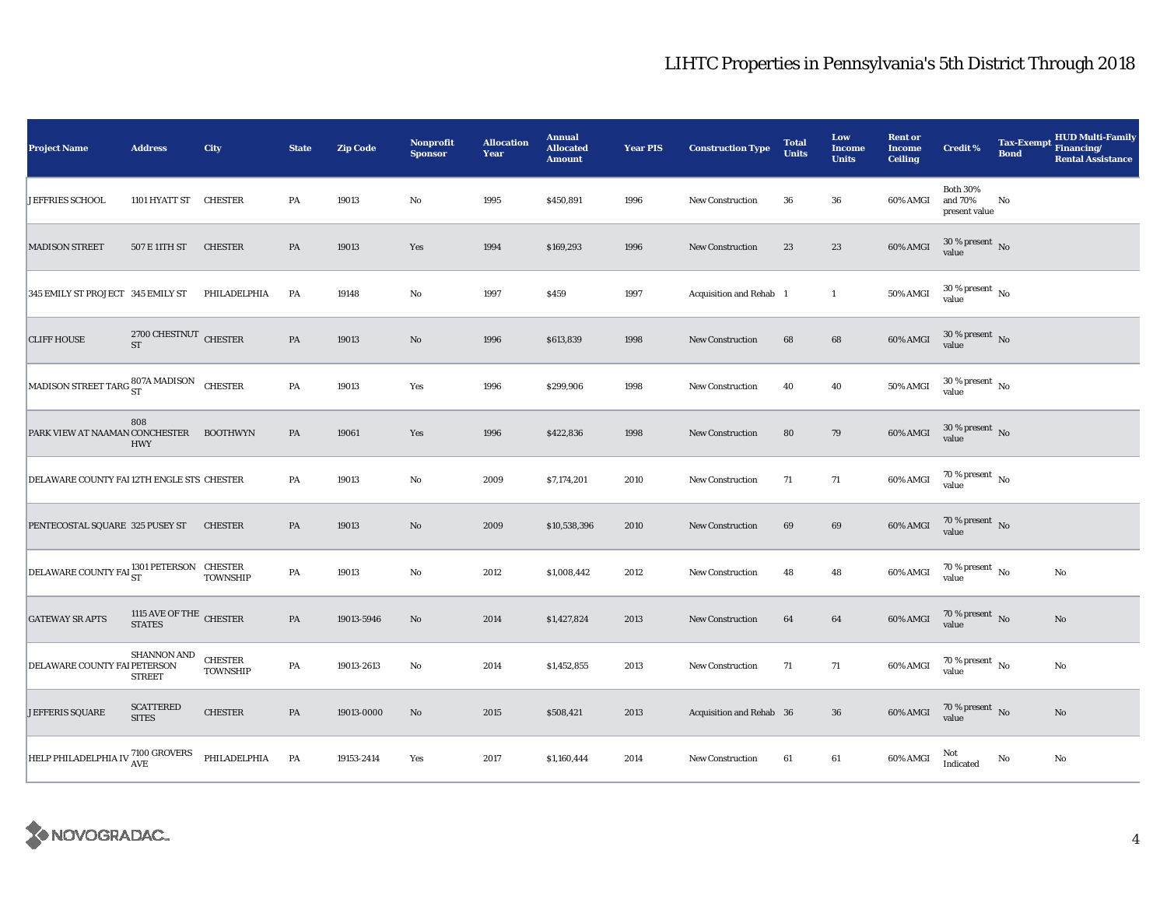| <b>Project Name</b>                                     | <b>Address</b>                               | City                       | <b>State</b> | <b>Zip Code</b> | <b>Nonprofit</b><br><b>Sponsor</b> | <b>Allocation</b><br>Year | <b>Annual</b><br><b>Allocated</b><br><b>Amount</b> | <b>Year PIS</b> | <b>Construction Type</b> | <b>Total</b><br><b>Units</b> | Low<br><b>Income</b><br><b>Units</b> | <b>Rent or</b><br><b>Income</b><br><b>Ceiling</b> | <b>Credit %</b>                             | <b>Tax-Exempt</b><br><b>Bond</b> | <b>HUD Multi-Family</b><br>Financing/<br><b>Rental Assistance</b> |
|---------------------------------------------------------|----------------------------------------------|----------------------------|--------------|-----------------|------------------------------------|---------------------------|----------------------------------------------------|-----------------|--------------------------|------------------------------|--------------------------------------|---------------------------------------------------|---------------------------------------------|----------------------------------|-------------------------------------------------------------------|
| JEFFRIES SCHOOL                                         | 1101 HYATT ST                                | <b>CHESTER</b>             | PA           | 19013           | $\rm No$                           | 1995                      | \$450,891                                          | 1996            | <b>New Construction</b>  | 36                           | 36                                   | 60% AMGI                                          | <b>Both 30%</b><br>and 70%<br>present value | No                               |                                                                   |
| <b>MADISON STREET</b>                                   | 507 E 11TH ST                                | <b>CHESTER</b>             | PA           | 19013           | Yes                                | 1994                      | \$169,293                                          | 1996            | <b>New Construction</b>  | 23                           | 23                                   | 60% AMGI                                          | $30\,\%$ present $\,$ No $\,$<br>value      |                                  |                                                                   |
| 345 EMILY ST PROJECT 345 EMILY ST                       |                                              | PHILADELPHIA               | PA           | 19148           | $\mathbf {No}$                     | 1997                      | \$459                                              | 1997            | Acquisition and Rehab 1  |                              | $\mathbf{1}$                         | 50% AMGI                                          | $30\,\%$ present $\,$ No value              |                                  |                                                                   |
| <b>CLIFF HOUSE</b>                                      | 2700 CHESTNUT CHESTER<br>$\operatorname{ST}$ |                            | PA           | 19013           | $\mathbf{N}\mathbf{o}$             | 1996                      | \$613,839                                          | 1998            | <b>New Construction</b>  | 68                           | 68                                   | 60% AMGI                                          | $30$ % present $\,$ No $\,$<br>value        |                                  |                                                                   |
| MADISON STREET TARG $_{\rm ST}^{807\mathrm{A}}$ MADISON |                                              | <b>CHESTER</b>             | PA           | 19013           | Yes                                | 1996                      | \$299,906                                          | 1998            | <b>New Construction</b>  | 40                           | 40                                   | 50% AMGI                                          | $30$ % present $\,$ No $\,$<br>value        |                                  |                                                                   |
| PARK VIEW AT NAAMAN CONCHESTER                          | 808<br><b>HWY</b>                            | <b>BOOTHWYN</b>            | PA           | 19061           | Yes                                | 1996                      | \$422,836                                          | 1998            | <b>New Construction</b>  | 80                           | 79                                   | 60% AMGI                                          | $30\,\%$ present $\,$ No $\,$<br>value      |                                  |                                                                   |
| DELAWARE COUNTY FAI 12TH ENGLE STS CHESTER              |                                              |                            | PA           | 19013           | $\rm No$                           | 2009                      | \$7,174,201                                        | 2010            | New Construction         | 71                           | 71                                   | 60% AMGI                                          | $70$ % present $\,$ No $\,$<br>value        |                                  |                                                                   |
| PENTECOSTAL SQUARE 325 PUSEY ST                         |                                              | <b>CHESTER</b>             | PA           | 19013           | $\rm No$                           | 2009                      | \$10,538,396                                       | 2010            | <b>New Construction</b>  | 69                           | $\bf{69}$                            | 60% AMGI                                          | 70 % present $\,$ No $\,$<br>value          |                                  |                                                                   |
| DELAWARE COUNTY FAI <sup>1301</sup> PETERSON CHESTER    |                                              | <b>TOWNSHIP</b>            | PA           | 19013           | $\rm No$                           | 2012                      | \$1,008,442                                        | 2012            | <b>New Construction</b>  | 48                           | 48                                   | 60% AMGI                                          | $70\,\%$ present $\,$ No value              |                                  | No                                                                |
| <b>GATEWAY SR APTS</b>                                  | $1115$ AVE OF THE $\,$ CHESTER STATES        |                            | PA           | 19013-5946      | No                                 | 2014                      | \$1,427,824                                        | 2013            | <b>New Construction</b>  | 64                           | 64                                   | 60% AMGI                                          | $70\,\%$ present $\,$ No value              |                                  | $\mathbf{No}$                                                     |
| DELAWARE COUNTY FAI PETERSON                            | <b>SHANNON AND</b><br><b>STREET</b>          | <b>CHESTER</b><br>TOWNSHIP | PA           | 19013-2613      | No                                 | 2014                      | \$1,452,855                                        | 2013            | <b>New Construction</b>  | 71                           | 71                                   | 60% AMGI                                          | $70\,\%$ present $\,$ No value              |                                  | No                                                                |
| JEFFERIS SQUARE                                         | <b>SCATTERED</b><br><b>SITES</b>             | <b>CHESTER</b>             | PA           | 19013-0000      | $\mathbf{N}\mathbf{o}$             | 2015                      | \$508,421                                          | 2013            | Acquisition and Rehab 36 |                              | ${\bf 36}$                           | 60% AMGI                                          | $70\,\%$ present $\,$ No value              |                                  | $\mathbf{No}$                                                     |
| HELP PHILADELPHIA IV $^{7100\, \rm GROVERS}_{\rm AVE}$  |                                              | PHILADELPHIA               | PA           | 19153-2414      | Yes                                | 2017                      | \$1,160,444                                        | 2014            | New Construction         | 61                           | 61                                   | 60% AMGI                                          | Not<br>Indicated                            | No                               | No                                                                |

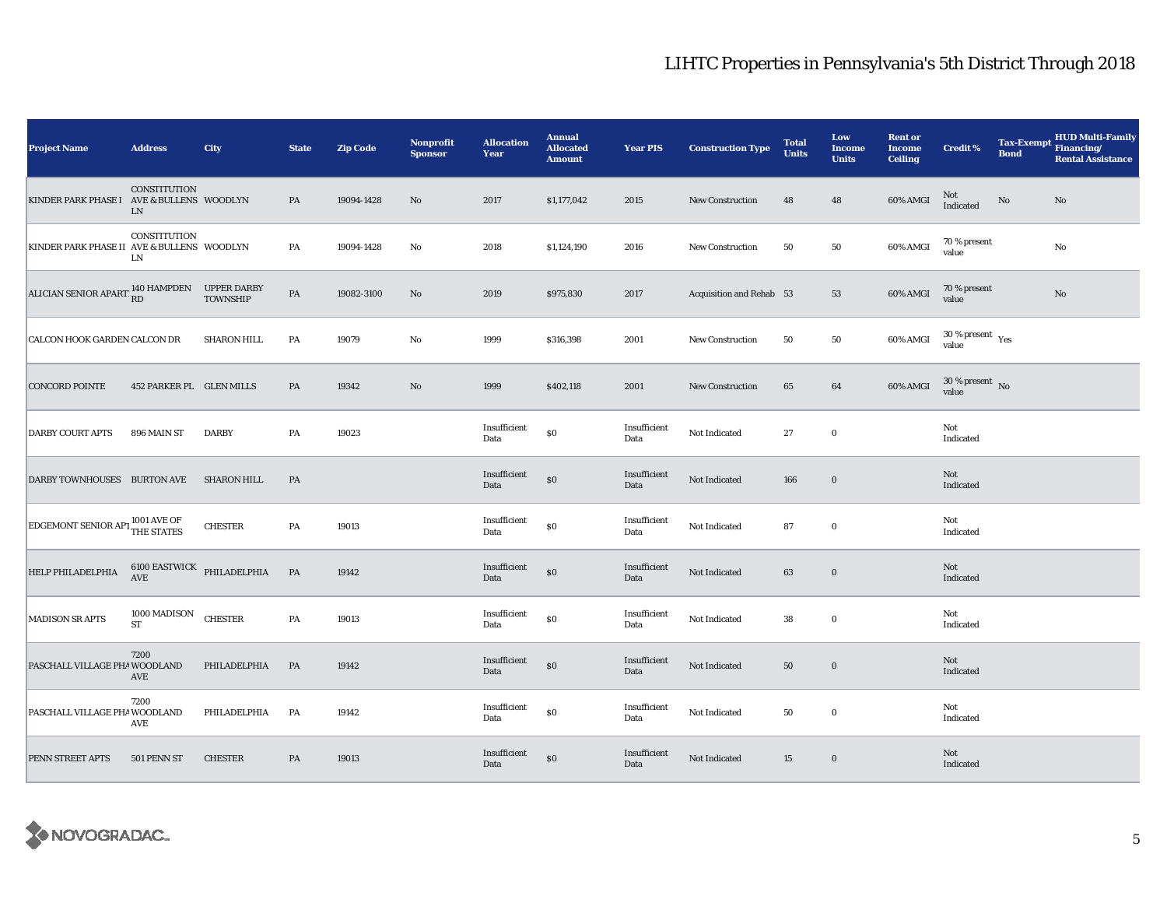| <b>Project Name</b>                                      | <b>Address</b>                   | <b>City</b>        | <b>State</b>  | <b>Zip Code</b> | <b>Nonprofit</b><br><b>Sponsor</b> | <b>Allocation</b><br>Year | <b>Annual</b><br><b>Allocated</b><br><b>Amount</b> | <b>Year PIS</b>      | <b>Construction Type</b> | <b>Total</b><br><b>Units</b> | Low<br><b>Income</b><br><b>Units</b> | <b>Rent or</b><br><b>Income</b><br><b>Ceiling</b> | <b>Credit %</b>                              | <b>Bond</b> | HUD Multi-Family<br>Tax-Exempt Financing/<br><b>Rental Assistance</b> |
|----------------------------------------------------------|----------------------------------|--------------------|---------------|-----------------|------------------------------------|---------------------------|----------------------------------------------------|----------------------|--------------------------|------------------------------|--------------------------------------|---------------------------------------------------|----------------------------------------------|-------------|-----------------------------------------------------------------------|
| KINDER PARK PHASE I AVE & BULLENS WOODLYN                | <b>CONSTITUTION</b><br>LN        |                    | PA            | 19094-1428      | $\rm No$                           | 2017                      | \$1,177,042                                        | 2015                 | New Construction         | 48                           | 48                                   | 60% AMGI                                          | Not<br>Indicated                             | No          | No                                                                    |
| KINDER PARK PHASE II AVE & BULLENS WOODLYN               | CONSTITUTION<br>LN               |                    | PA            | 19094-1428      | No                                 | 2018                      | \$1,124,190                                        | 2016                 | <b>New Construction</b>  | 50                           | 50                                   | 60% AMGI                                          | 70 % present<br>value                        |             | $\rm No$                                                              |
| ALICIAN SENIOR APART 140 HAMPDEN UPPER DARBY<br>TOWNSHIP |                                  | <b>TOWNSHIP</b>    | $\mathbf{PA}$ | 19082-3100      | $\rm No$                           | 2019                      | \$975,830                                          | 2017                 | Acquisition and Rehab 53 |                              | 53                                   | 60% AMGI                                          | 70 % present<br>value                        |             | $\rm No$                                                              |
| CALCON HOOK GARDEN CALCON DR                             |                                  | <b>SHARON HILL</b> | PA            | 19079           | No                                 | 1999                      | \$316,398                                          | 2001                 | <b>New Construction</b>  | 50                           | 50                                   | 60% AMGI                                          | $30$ % present $\rm\thinspace\,Yes$<br>value |             |                                                                       |
| <b>CONCORD POINTE</b>                                    | 452 PARKER PL GLEN MILLS         |                    | PA            | 19342           | $\rm No$                           | 1999                      | \$402,118                                          | 2001                 | New Construction         | 65                           | 64                                   | 60% AMGI                                          | $30$ % present $\,$ No value                 |             |                                                                       |
| <b>DARBY COURT APTS</b>                                  | 896 MAIN ST                      | <b>DARBY</b>       | PA            | 19023           |                                    | Insufficient<br>Data      | $\$0$                                              | Insufficient<br>Data | Not Indicated            | 27                           | $\bf{0}$                             |                                                   | Not<br>Indicated                             |             |                                                                       |
| DARBY TOWNHOUSES BURTON AVE                              |                                  | <b>SHARON HILL</b> | PA            |                 |                                    | Insufficient<br>Data      | $\$0$                                              | Insufficient<br>Data | Not Indicated            | 166                          | $\mathbf 0$                          |                                                   | Not<br>Indicated                             |             |                                                                       |
| <b>EDGEMONT SENIOR APT 1001 AVE OF</b> THE STATES        |                                  | <b>CHESTER</b>     | PA            | 19013           |                                    | Insufficient<br>Data      | \$0                                                | Insufficient<br>Data | Not Indicated            | 87                           | $\mathbf 0$                          |                                                   | Not<br>Indicated                             |             |                                                                       |
| HELP PHILADELPHIA                                        | $6100$ EASTWICK PHILADELPHIA AVE |                    | $\mathbf{PA}$ | 19142           |                                    | Insufficient<br>Data      | \$0                                                | Insufficient<br>Data | Not Indicated            | 63                           | $\bf{0}$                             |                                                   | Not<br>Indicated                             |             |                                                                       |
| <b>MADISON SR APTS</b>                                   | 1000 MADISON<br><b>ST</b>        | <b>CHESTER</b>     | PA            | 19013           |                                    | Insufficient<br>Data      | $\$0$                                              | Insufficient<br>Data | Not Indicated            | 38                           | $\bf{0}$                             |                                                   | Not<br>Indicated                             |             |                                                                       |
| PASCHALL VILLAGE PHA WOODLAND                            | 7200<br>AVE                      | PHILADELPHIA       | PA            | 19142           |                                    | Insufficient<br>Data      | $\$0$                                              | Insufficient<br>Data | Not Indicated            | 50                           | $\bf{0}$                             |                                                   | Not<br>Indicated                             |             |                                                                       |
| PASCHALL VILLAGE PHA WOODLAND                            | 7200<br>AVE                      | PHILADELPHIA       | PA            | 19142           |                                    | Insufficient<br>Data      | $\$0$                                              | Insufficient<br>Data | Not Indicated            | 50                           | $\mathbf 0$                          |                                                   | Not<br>Indicated                             |             |                                                                       |
| PENN STREET APTS                                         | 501 PENN ST                      | <b>CHESTER</b>     | PA            | 19013           |                                    | Insufficient<br>Data      | \$0                                                | Insufficient<br>Data | Not Indicated            | 15                           | $\bf{0}$                             |                                                   | Not<br>Indicated                             |             |                                                                       |

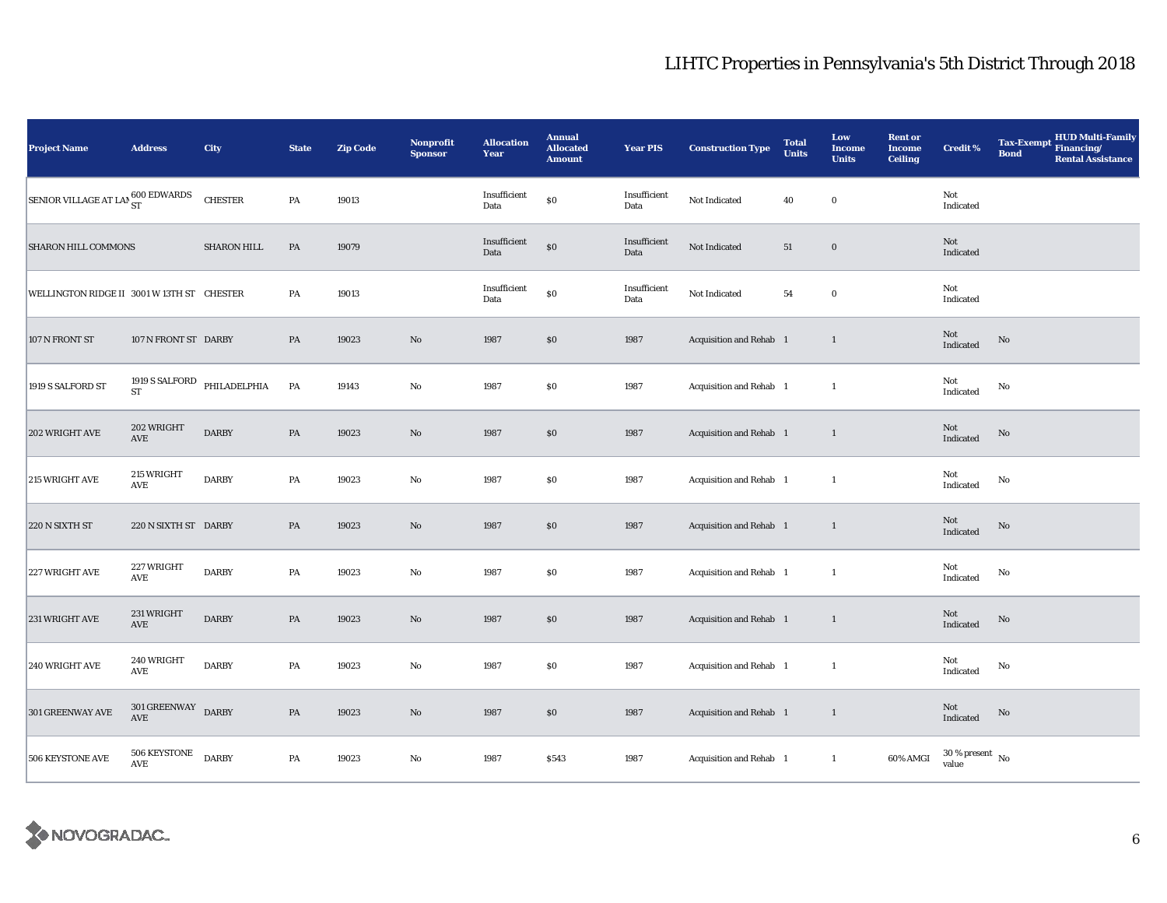| <b>Project Name</b>                        | <b>Address</b>                                    | City               | <b>State</b>  | <b>Zip Code</b> | <b>Nonprofit</b><br><b>Sponsor</b> | <b>Allocation</b><br>Year | <b>Annual</b><br><b>Allocated</b><br><b>Amount</b> | <b>Year PIS</b>      | <b>Construction Type</b> | <b>Total</b><br><b>Units</b> | Low<br><b>Income</b><br><b>Units</b> | <b>Rent or</b><br><b>Income</b><br><b>Ceiling</b> | <b>Credit %</b>                          | <b>HUD Multi-Family</b><br>Tax-Exempt Financing/<br><b>Bond</b><br><b>Rental Assistance</b> |
|--------------------------------------------|---------------------------------------------------|--------------------|---------------|-----------------|------------------------------------|---------------------------|----------------------------------------------------|----------------------|--------------------------|------------------------------|--------------------------------------|---------------------------------------------------|------------------------------------------|---------------------------------------------------------------------------------------------|
| SENIOR VILLAGE AT LAN 600 EDWARDS          |                                                   | CHESTER            | ${\bf PA}$    | 19013           |                                    | Insufficient<br>Data      | $\$0$                                              | Insufficient<br>Data | Not Indicated            | 40                           | $\bf{0}$                             |                                                   | Not<br>Indicated                         |                                                                                             |
| SHARON HILL COMMONS                        |                                                   | <b>SHARON HILL</b> | PA            | 19079           |                                    | Insufficient<br>Data      | $\boldsymbol{\mathsf{S}}\boldsymbol{\mathsf{0}}$   | Insufficient<br>Data | Not Indicated            | 51                           | $\mathbf 0$                          |                                                   | Not<br>Indicated                         |                                                                                             |
| WELLINGTON RIDGE II 3001 W 13TH ST CHESTER |                                                   |                    | PA            | 19013           |                                    | Insufficient<br>Data      | $\$0$                                              | Insufficient<br>Data | Not Indicated            | 54                           | $\mathbf 0$                          |                                                   | Not<br>Indicated                         |                                                                                             |
| 107 N FRONT ST                             | 107 N FRONT ST DARBY                              |                    | PA            | 19023           | $\rm\thinspace No$                 | 1987                      | \$0                                                | 1987                 | Acquisition and Rehab 1  |                              | $\mathbf{1}$                         |                                                   | Not<br>Indicated                         | $\rm No$                                                                                    |
| 1919 S SALFORD ST                          | 1919 ${\bf S}$ SALFORD PHILADELPHIA<br>${\rm ST}$ |                    | PA            | 19143           | No                                 | 1987                      | $\$0$                                              | 1987                 | Acquisition and Rehab 1  |                              | $\mathbf{1}$                         |                                                   | Not<br>$\operatorname{Indicated}$        | No                                                                                          |
| 202 WRIGHT AVE                             | 202 WRIGHT<br>$\operatorname{AVE}$                | <b>DARBY</b>       | $\mathbf{PA}$ | 19023           | $\mathbf{N}\mathbf{o}$             | 1987                      | $\$0$                                              | 1987                 | Acquisition and Rehab 1  |                              | $\mathbf{1}$                         |                                                   | Not<br>Indicated                         | No                                                                                          |
| 215 WRIGHT AVE                             | 215 WRIGHT<br>$\operatorname{AVE}$                | <b>DARBY</b>       | PA            | 19023           | No                                 | 1987                      | $\$0$                                              | 1987                 | Acquisition and Rehab 1  |                              | $\mathbf{1}$                         |                                                   | Not<br>Indicated                         | No                                                                                          |
| 220 N SIXTH ST                             | 220 N SIXTH ST DARBY                              |                    | $\mathbf{PA}$ | 19023           | $\rm No$                           | 1987                      | $\$0$                                              | 1987                 | Acquisition and Rehab 1  |                              | $\mathbf{1}$                         |                                                   | Not<br>Indicated                         | No                                                                                          |
| 227 WRIGHT AVE                             | 227 WRIGHT<br>AVE                                 | <b>DARBY</b>       | PA            | 19023           | No                                 | 1987                      | \$0                                                | 1987                 | Acquisition and Rehab 1  |                              | $\mathbf{1}$                         |                                                   | Not<br>Indicated                         | No                                                                                          |
| 231 WRIGHT AVE                             | 231 WRIGHT<br>AVE                                 | <b>DARBY</b>       | $\mathbf{PA}$ | 19023           | $\mathbf{N}\mathbf{o}$             | 1987                      | \$0                                                | 1987                 | Acquisition and Rehab 1  |                              | $\mathbf{1}$                         |                                                   | Not<br>Indicated                         | $\rm No$                                                                                    |
| 240 WRIGHT AVE                             | <b>240 WRIGHT</b><br>AVE                          | <b>DARBY</b>       | PA            | 19023           | No                                 | 1987                      | $\$0$                                              | 1987                 | Acquisition and Rehab 1  |                              | $\mathbf{1}$                         |                                                   | Not<br>Indicated                         | No                                                                                          |
| 301 GREENWAY AVE                           | $301\,{\tt GREENWAY}$ DARBY AVE                   |                    | $\mathbf{PA}$ | 19023           | No                                 | 1987                      | $\$0$                                              | 1987                 | Acquisition and Rehab 1  |                              | $\overline{1}$                       |                                                   | <b>Not</b><br>$\operatorname{Indicated}$ | No                                                                                          |
| 506 KEYSTONE AVE                           | 506 KEYSTONE<br>AVE                               | <b>DARBY</b>       | PA            | 19023           | No                                 | 1987                      | \$543                                              | 1987                 | Acquisition and Rehab 1  |                              | $\mathbf{1}$                         | 60% AMGI                                          | $30\,\%$ present $\,$ No value           |                                                                                             |

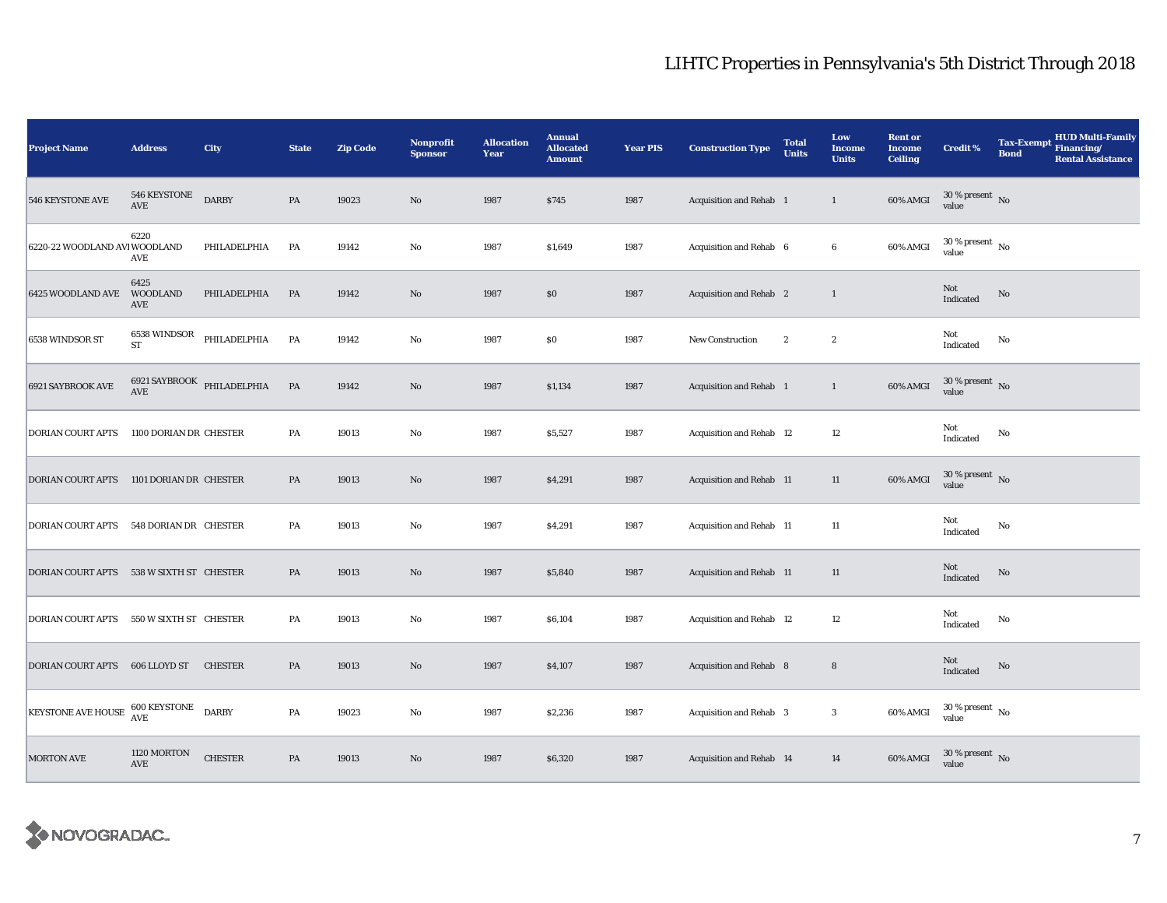| <b>Project Name</b>                      | <b>Address</b>                 | City                       | <b>State</b>  | <b>Zip Code</b> | <b>Nonprofit</b><br><b>Sponsor</b> | <b>Allocation</b><br>Year | <b>Annual</b><br><b>Allocated</b><br><b>Amount</b> | <b>Year PIS</b> | <b>Construction Type</b> | <b>Total</b><br><b>Units</b> | Low<br><b>Income</b><br><b>Units</b> | <b>Rent or</b><br><b>Income</b><br><b>Ceiling</b> | <b>Credit %</b>                        | <b>Tax-Exempt</b><br><b>Bond</b> | <b>HUD Multi-Family</b><br>Financing/<br><b>Rental Assistance</b> |
|------------------------------------------|--------------------------------|----------------------------|---------------|-----------------|------------------------------------|---------------------------|----------------------------------------------------|-----------------|--------------------------|------------------------------|--------------------------------------|---------------------------------------------------|----------------------------------------|----------------------------------|-------------------------------------------------------------------|
| 546 KEYSTONE AVE                         | 546 KEYSTONE<br>AVE            | <b>DARBY</b>               | PA            | 19023           | $\rm No$                           | 1987                      | \$745                                              | 1987            | Acquisition and Rehab 1  |                              | $\mathbf{1}$                         | 60% AMGI                                          | $30\,\%$ present $\,$ No value         |                                  |                                                                   |
| 6220-22 WOODLAND AVI WOODLAND            | 6220<br>AVE                    | PHILADELPHIA               | PA            | 19142           | $\rm No$                           | 1987                      | \$1,649                                            | 1987            | Acquisition and Rehab 6  |                              | $6\phantom{.0}$                      | 60% AMGI                                          | $30\,\%$ present $\,$ No $\,$<br>value |                                  |                                                                   |
| 6425 WOODLAND AVE                        | 6425<br><b>WOODLAND</b><br>AVE | PHILADELPHIA               | PA            | 19142           | $\rm No$                           | 1987                      | \$0                                                | 1987            | Acquisition and Rehab 2  |                              | $\mathbf{1}$                         |                                                   | Not<br>Indicated                       | $\mathbf{No}$                    |                                                                   |
| 6538 WINDSOR ST                          | 6538 WINDSOR<br>ST             | PHILADELPHIA               | PA            | 19142           | $\rm No$                           | 1987                      | \$0                                                | 1987            | New Construction         | $\boldsymbol{2}$             | $\boldsymbol{2}$                     |                                                   | Not<br>Indicated                       | No                               |                                                                   |
| 6921 SAYBROOK AVE                        | AVE                            | 6921 SAYBROOK PHILADELPHIA | PA            | 19142           | $\rm No$                           | 1987                      | \$1,134                                            | 1987            | Acquisition and Rehab 1  |                              | $\mathbf{1}$                         | 60% AMGI                                          | $30$ % present $\,$ No $\,$<br>value   |                                  |                                                                   |
| <b>DORIAN COURT APTS</b>                 | 1100 DORIAN DR CHESTER         |                            | PA            | 19013           | $\mathbf {No}$                     | 1987                      | \$5,527                                            | 1987            | Acquisition and Rehab 12 |                              | $12\,$                               |                                                   | Not<br>Indicated                       | No                               |                                                                   |
| DORIAN COURT APTS 1101 DORIAN DR CHESTER |                                |                            | PA            | 19013           | $\rm No$                           | 1987                      | \$4,291                                            | 1987            | Acquisition and Rehab 11 |                              | 11                                   | 60% AMGI                                          | $30\,\%$ present $\,$ No value         |                                  |                                                                   |
| DORIAN COURT APTS                        | 548 DORIAN DR CHESTER          |                            | PA            | 19013           | $\rm No$                           | 1987                      | \$4,291                                            | 1987            | Acquisition and Rehab 11 |                              | $11\,$                               |                                                   | Not<br>Indicated                       | No                               |                                                                   |
| DORIAN COURT APTS 538 W SIXTH ST CHESTER |                                |                            | PA            | 19013           | $\rm\thinspace No$                 | 1987                      | \$5,840                                            | 1987            | Acquisition and Rehab 11 |                              | $11\,$                               |                                                   | Not<br>Indicated                       | No                               |                                                                   |
| <b>DORIAN COURT APTS</b>                 | 550 W SIXTH ST CHESTER         |                            | PA            | 19013           | No                                 | 1987                      | \$6,104                                            | 1987            | Acquisition and Rehab 12 |                              | 12                                   |                                                   | Not<br>Indicated                       | No                               |                                                                   |
| DORIAN COURT APTS                        | 606 LLOYD ST                   | <b>CHESTER</b>             | PA            | 19013           | $\rm No$                           | 1987                      | \$4,107                                            | 1987            | Acquisition and Rehab 8  |                              | $\bf8$                               |                                                   | Not<br>Indicated                       | No                               |                                                                   |
| KEYSTONE AVE HOUSE 600 KEYSTONE          |                                | <b>DARBY</b>               | PA            | 19023           | $\rm No$                           | 1987                      | \$2,236                                            | 1987            | Acquisition and Rehab 3  |                              | $\boldsymbol{3}$                     | 60% AMGI                                          | $30\,\%$ present $\,$ No value         |                                  |                                                                   |
| <b>MORTON AVE</b>                        | 1120 MORTON<br>AVE             | <b>CHESTER</b>             | $\mathbf{PA}$ | 19013           | No                                 | 1987                      | \$6,320                                            | 1987            | Acquisition and Rehab 14 |                              | 14                                   | 60% AMGI                                          | $30\,\%$ present $\,$ No value         |                                  |                                                                   |

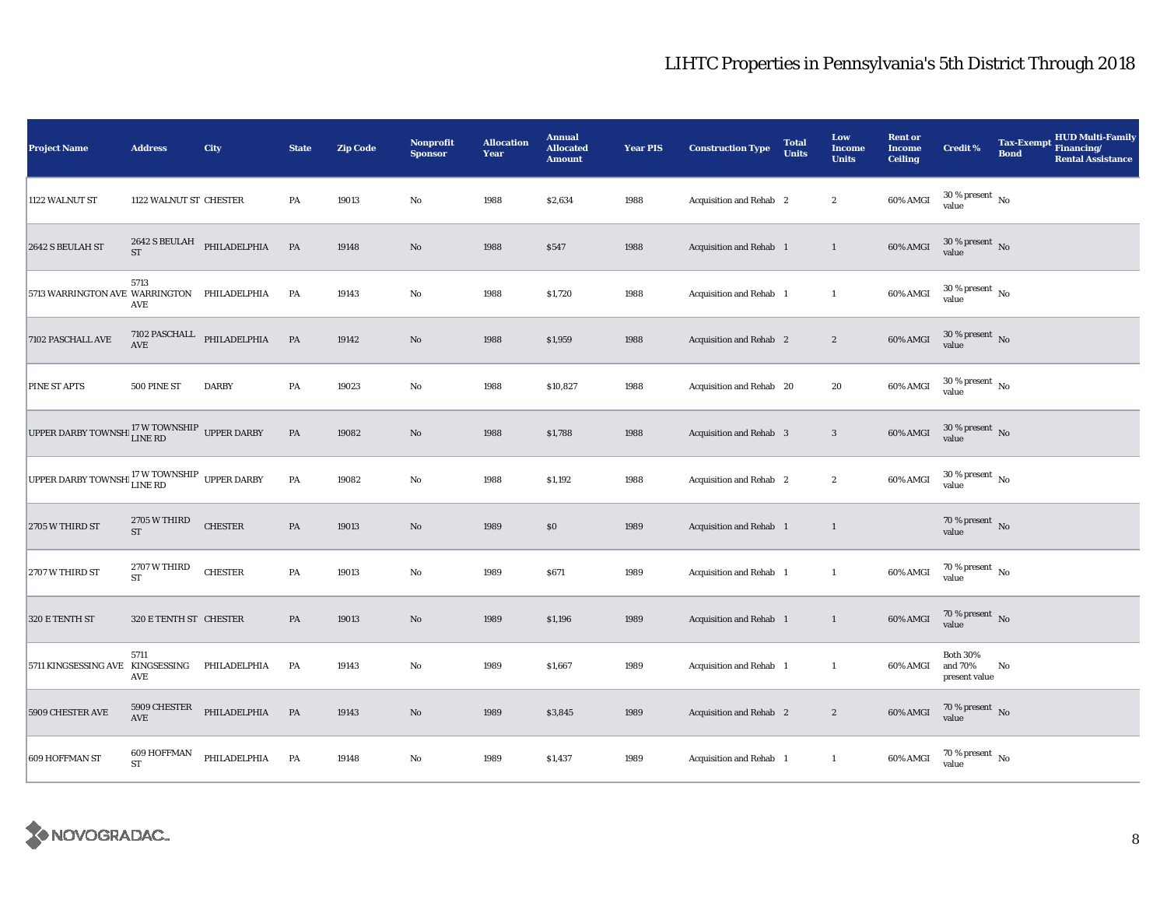| <b>Project Name</b>                                                 | <b>Address</b>                       | City                                     | <b>State</b>  | <b>Zip Code</b> | <b>Nonprofit</b><br><b>Sponsor</b> | <b>Allocation</b><br>Year | <b>Annual</b><br><b>Allocated</b><br><b>Amount</b> | <b>Year PIS</b> | <b>Construction Type</b>       | <b>Total</b><br><b>Units</b> | Low<br><b>Income</b><br><b>Units</b> | <b>Rent or</b><br><b>Income</b><br><b>Ceiling</b> | <b>Credit %</b>                             | <b>Tax-Exempt</b><br><b>Bond</b> | <b>HUD Multi-Family</b><br>Financing/<br><b>Rental Assistance</b> |
|---------------------------------------------------------------------|--------------------------------------|------------------------------------------|---------------|-----------------|------------------------------------|---------------------------|----------------------------------------------------|-----------------|--------------------------------|------------------------------|--------------------------------------|---------------------------------------------------|---------------------------------------------|----------------------------------|-------------------------------------------------------------------|
| 1122 WALNUT ST                                                      | 1122 WALNUT ST CHESTER               |                                          | PA            | 19013           | $\rm No$                           | 1988                      | \$2,634                                            | 1988            | Acquisition and Rehab 2        |                              | $\boldsymbol{2}$                     | 60% AMGI                                          | $30$ % present $\,$ No $\,$<br>value        |                                  |                                                                   |
| 2642 S BEULAH ST                                                    | <b>ST</b>                            | 2642 S BEULAH PHILADELPHIA               | PA            | 19148           | $\rm No$                           | 1988                      | \$547                                              | 1988            | Acquisition and Rehab 1        |                              | $\mathbf{1}$                         | 60% AMGI                                          | $30\,\%$ present $\,$ No $\,$<br>value      |                                  |                                                                   |
| 5713 WARRINGTON AVE WARRINGTON PHILADELPHIA                         | 5713<br>AVE                          |                                          | PA            | 19143           | $\rm No$                           | 1988                      | \$1,720                                            | 1988            | Acquisition and Rehab 1        |                              | $\mathbf{1}$                         | 60% AMGI                                          | $30\,\%$ present $\,$ No value              |                                  |                                                                   |
| 7102 PASCHALL AVE                                                   |                                      | $7102$ PASCHALL $$\tt PHILADELPHIA$$ AVE | PA            | 19142           | $\mathbf{No}$                      | 1988                      | \$1,959                                            | 1988            | Acquisition and Rehab 2        |                              | $\boldsymbol{2}$                     | 60% AMGI                                          | $30\,\%$ present $\,$ No value              |                                  |                                                                   |
| PINE ST APTS                                                        | 500 PINE ST                          | <b>DARBY</b>                             | PA            | 19023           | $\rm No$                           | 1988                      | \$10,827                                           | 1988            | Acquisition and Rehab 20       |                              | 20                                   | 60% AMGI                                          | $30\,\%$ present $\,$ No value              |                                  |                                                                   |
| UPPER DARBY TOWNSHI $_{\rm LINE\ RD}^{17\ W\ TOWNSHIP}$ UPPER DARBY |                                      |                                          | $\mathbf{PA}$ | 19082           | No                                 | 1988                      | \$1,788                                            | 1988            | <b>Acquisition and Rehab</b> 3 |                              | $\mathbf{3}$                         | 60% AMGI                                          | $30\,\%$ present $\,$ No value              |                                  |                                                                   |
| UPPER DARBY TOWNSHI <sup>17</sup> W TOWNSHIP UPPER DARBY            |                                      |                                          | $\mathbf{PA}$ | 19082           | No                                 | 1988                      | \$1,192                                            | 1988            | Acquisition and Rehab 2        |                              | $\boldsymbol{2}$                     | 60% AMGI                                          | $30\,\%$ present $\,$ No value              |                                  |                                                                   |
| 2705 W THIRD ST                                                     | 2705 W THIRD<br><b>ST</b>            | <b>CHESTER</b>                           | PA            | 19013           | $\rm No$                           | 1989                      | \$0                                                | 1989            | Acquisition and Rehab 1        |                              | $\mathbf{1}$                         |                                                   | 70 % present $\bar{N}$ o<br>value           |                                  |                                                                   |
| 2707 W THIRD ST                                                     | 2707 W THIRD<br><b>ST</b>            | <b>CHESTER</b>                           | $\mathbf{PA}$ | 19013           | $_{\rm No}$                        | 1989                      | \$671                                              | 1989            | Acquisition and Rehab 1        |                              | $\mathbf{1}$                         | 60% AMGI                                          | $70\,\%$ present $\,$ No value              |                                  |                                                                   |
| 320 E TENTH ST                                                      | 320 E TENTH ST CHESTER               |                                          | PA            | 19013           | $\rm No$                           | 1989                      | \$1,196                                            | 1989            | Acquisition and Rehab 1        |                              | $\mathbf{1}$                         | 60% AMGI                                          | $70\,\%$ present $\,$ No value              |                                  |                                                                   |
| 5711 KINGSESSING AVE                                                | 5711<br>KINGSESSING<br>AVE           | PHILADELPHIA                             | PA            | 19143           | $\rm No$                           | 1989                      | \$1,667                                            | 1989            | Acquisition and Rehab 1        |                              | $\mathbf{1}$                         | 60% AMGI                                          | <b>Both 30%</b><br>and 70%<br>present value | No                               |                                                                   |
| 5909 CHESTER AVE                                                    | 5909 CHESTER<br>$\operatorname{AVE}$ | PHILADELPHIA                             | PA            | 19143           | $\rm No$                           | 1989                      | \$3,845                                            | 1989            | Acquisition and Rehab 2        |                              | $\boldsymbol{2}$                     | 60% AMGI                                          | $70\,\%$ present $\,$ No value              |                                  |                                                                   |
| 609 HOFFMAN ST                                                      | 609 HOFFMAN<br>ST                    | PHILADELPHIA                             | PA            | 19148           | No                                 | 1989                      | \$1,437                                            | 1989            | Acquisition and Rehab 1        |                              | $\mathbf{1}$                         | 60% AMGI                                          | $70$ % present $\,$ No $\,$<br>value        |                                  |                                                                   |